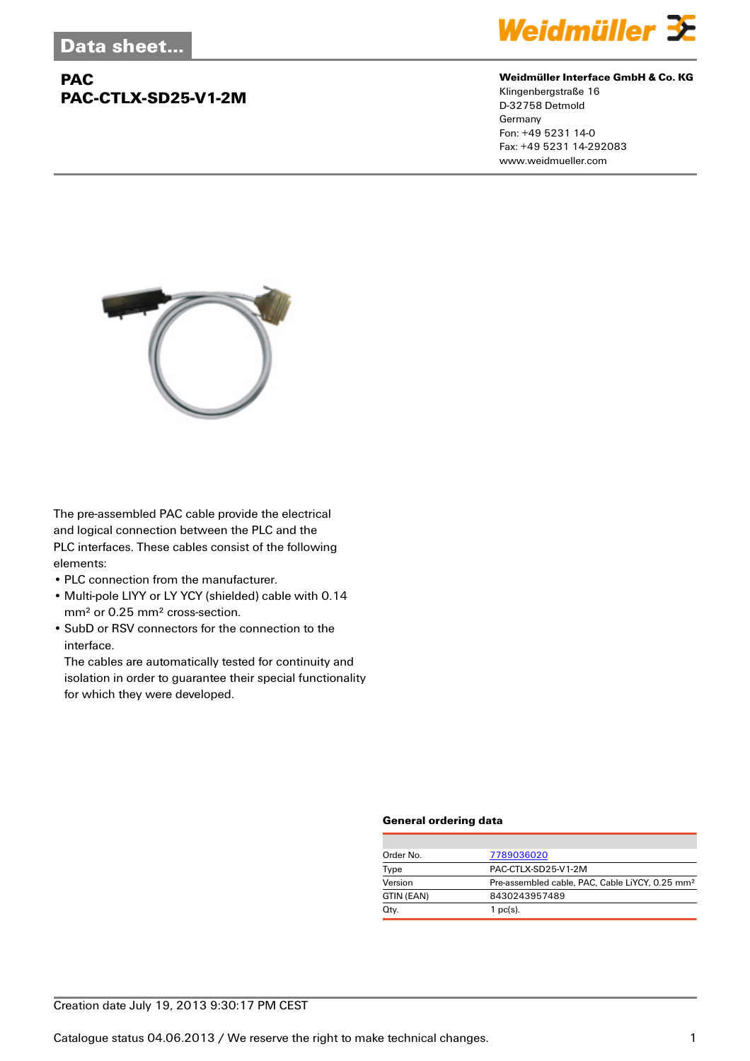## **PAC PAC-CTLX-SD25-V1-2M**



#### **Weidmüller Interface GmbH & Co. KG**

Klingenbergstraße 16 D-32758 Detmold Germany Fon: +49 5231 14-0 Fax: +49 5231 14-292083 www.weidmueller.com



The pre-assembled PAC cable provide the electrical and logical connection between the PLC and the PLC interfaces. These cables consist of the following elements:

- PLC connection from the manufacturer.
- Multi-pole LIYY or LY YCY (shielded) cable with 0.14 mm² or 0.25 mm² cross-section.
- SubD or RSV connectors for the connection to the interface.

The cables are automatically tested for continuity and isolation in order to guarantee their special functionality for which they were developed.

#### **General ordering data**

| Order No.  | 7789036020                                                  |  |
|------------|-------------------------------------------------------------|--|
| Type       | PAC-CTLX-SD25-V1-2M                                         |  |
| Version    | Pre-assembled cable, PAC, Cable LiYCY, 0.25 mm <sup>2</sup> |  |
| GTIN (EAN) | 8430243957489                                               |  |
| Qty.       | 1 $pc(s)$ .                                                 |  |